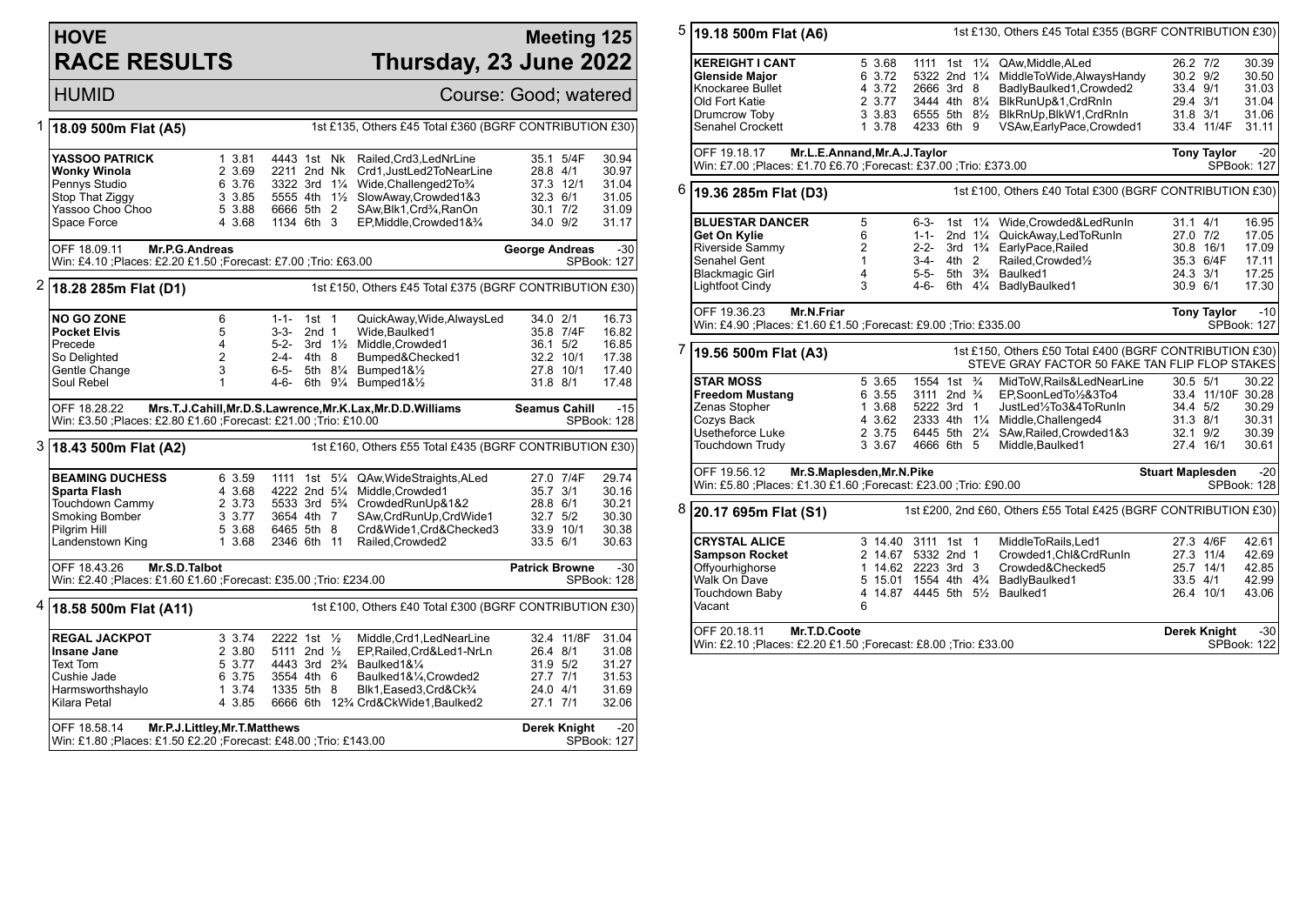## **HOVE RACE RESULTS**

#### **Meeting 125 Thursday, 23 June 2022**

## HUMID Course: Good; watered

| 1<br>18.09 500m Flat (A5)                                                             |                                                                                                                                                  |                |                        |                  |  | 1st £135, Others £45 Total £360 (BGRF CONTRIBUTION £30)                      |                       |                       |                      |
|---------------------------------------------------------------------------------------|--------------------------------------------------------------------------------------------------------------------------------------------------|----------------|------------------------|------------------|--|------------------------------------------------------------------------------|-----------------------|-----------------------|----------------------|
|                                                                                       | <b>YASSOO PATRICK</b>                                                                                                                            | 1 3.81         | 4443 1st Nk            |                  |  | Railed, Crd3, LedNrLine                                                      |                       | 35.1 5/4F             | 30.94                |
|                                                                                       | <b>Wonky Winola</b>                                                                                                                              | 2 3.69         | 2211 2nd Nk            |                  |  | Crd1, JustLed2ToNearLine                                                     | 28.8 4/1              |                       | 30.97                |
|                                                                                       | Pennys Studio                                                                                                                                    | 6 3.76         | 3322 3rd 11/4          |                  |  | Wide, Challenged 2To 3/4                                                     |                       | 37.3 12/1             | 31.04                |
|                                                                                       | Stop That Ziggy                                                                                                                                  | 3 3.85         |                        |                  |  | 5555 4th 11/2 SlowAway, Crowded 1&3                                          | 32.3 6/1              |                       | 31.05                |
|                                                                                       | Yassoo Choo Choo                                                                                                                                 | 5 3.88         | 6666 5th 2             |                  |  | SAw, Blk1, Crd3/4, RanOn                                                     | $30.1$ $7/2$          |                       | 31.09                |
|                                                                                       | Space Force                                                                                                                                      | 4 3.68         | 1134 6th 3             |                  |  | EP, Middle, Crowded 1& 3/4                                                   | 34.0 9/2              |                       | 31.17                |
|                                                                                       | OFF 18.09.11<br>Mr.P.G.Andreas<br>Win: £4.10 ; Places: £2.20 £1.50 ; Forecast: £7.00 ; Trio: £63.00                                              |                |                        |                  |  |                                                                              | <b>George Andreas</b> |                       | $-30$<br>SPBook: 127 |
|                                                                                       |                                                                                                                                                  |                |                        |                  |  |                                                                              |                       |                       |                      |
| 2                                                                                     | 1st £150, Others £45 Total £375 (BGRF CONTRIBUTION £30)<br>18.28 285m Flat (D1)                                                                  |                |                        |                  |  |                                                                              |                       |                       |                      |
|                                                                                       | <b>NO GO ZONE</b>                                                                                                                                | 6              | $1 - 1 - 1$ st 1       |                  |  | QuickAway, Wide, AlwaysLed                                                   | 34.0 2/1              |                       | 16.73                |
|                                                                                       | <b>Pocket Elvis</b>                                                                                                                              | 5              | $3-3-$                 | 2nd <sub>1</sub> |  | Wide.Baulked1                                                                |                       | 35.8 7/4F             | 16.82                |
|                                                                                       | Precede                                                                                                                                          | $\overline{4}$ | $5 - 2 -$              |                  |  | 3rd 11/2 Middle, Crowded1                                                    | 36.1 5/2              |                       | 16.85                |
|                                                                                       | So Delighted                                                                                                                                     | $\overline{2}$ | $2 - 4 -$              | 4th 8            |  | Bumped&Checked1                                                              |                       | 32.2 10/1             | 17.38                |
|                                                                                       | Gentle Change                                                                                                                                    | 3              | 6-5-                   |                  |  | 5th 81/4 Bumped1&1/2                                                         |                       | 27.8 10/1             | 17.40                |
|                                                                                       | Soul Rebel                                                                                                                                       | 1              | 4-6-                   |                  |  | 6th 91/4 Bumped1&1/2                                                         | 31.8 8/1              |                       | 17.48                |
|                                                                                       | OFF 18.28.22<br>Mrs.T.J.Cahill, Mr.D.S.Lawrence, Mr.K.Lax, Mr.D.D.Williams<br>Win: £3.50 ; Places: £2.80 £1.60 ; Forecast: £21.00 ; Trio: £10.00 |                |                        |                  |  |                                                                              |                       | <b>Seamus Cahill</b>  | $-15$<br>SPBook: 128 |
| $3$ 18.43 500m Flat (A2)<br>1st £160, Others £55 Total £435 (BGRF CONTRIBUTION £30)   |                                                                                                                                                  |                |                        |                  |  |                                                                              |                       |                       |                      |
|                                                                                       | <b>BEAMING DUCHESS</b>                                                                                                                           | 6 3.59         |                        |                  |  | 1111 1st 51/4 QAw, Wide Straights, ALed                                      |                       | 27.0 7/4F             | 29.74                |
|                                                                                       | Sparta Flash                                                                                                                                     | 4 3.68         | 4222 2nd 51/4          |                  |  | Middle, Crowded1                                                             | 35.7 3/1              |                       | 30.16                |
|                                                                                       | Touchdown Cammy                                                                                                                                  | 2 3.73         |                        |                  |  | 5533 3rd 5 <sup>3</sup> / <sub>4</sub> CrowdedRunUp&1&2                      | 28.8 6/1              |                       | 30.21                |
|                                                                                       | Smoking Bomber                                                                                                                                   | 3 3.77         | 3654 4th 7             |                  |  | SAw,CrdRunUp,CrdWide1                                                        | 32.7 5/2              |                       | 30.30                |
|                                                                                       | Pilgrim Hill                                                                                                                                     | 5 3.68         | 6465 5th 8             |                  |  | Crd&Wide1,Crd&Checked3                                                       |                       | 33.9 10/1             | 30.38                |
|                                                                                       | Landenstown King                                                                                                                                 | 1 3.68         | 2346 6th 11            |                  |  | Railed, Crowded2                                                             | 33.5 6/1              |                       | 30.63                |
|                                                                                       | OFF 18.43.26<br>Mr.S.D.Talbot<br>Win: £2.40 ; Places: £1.60 £1.60 ; Forecast: £35.00 ; Trio: £234.00                                             |                |                        |                  |  |                                                                              |                       | <b>Patrick Browne</b> | $-30$<br>SPBook: 128 |
| 4<br>1st £100, Others £40 Total £300 (BGRF CONTRIBUTION £30)<br>18.58 500m Flat (A11) |                                                                                                                                                  |                |                        |                  |  |                                                                              |                       |                       |                      |
|                                                                                       | <b>REGAL JACKPOT</b>                                                                                                                             | 3 3.74         | 2222 1st 1/2           |                  |  | Middle, Crd1, LedNearLine                                                    |                       | 32.4 11/8F            | 31.04                |
|                                                                                       | Insane Jane                                                                                                                                      | 2 3.80         | 5111 2nd $\frac{1}{2}$ |                  |  | EP, Railed, Crd&Led1-NrLn                                                    | 26.4 8/1              |                       | 31.08                |
|                                                                                       | <b>Text Tom</b>                                                                                                                                  | 5 3.77         |                        |                  |  | 4443 3rd 2 <sup>3</sup> / <sub>4</sub> Baulked1& <sup>1</sup> / <sub>4</sub> | 31.9 5/2              |                       | 31.27                |
|                                                                                       | Cushie Jade                                                                                                                                      | 6 3.75         | 3554 4th 6             |                  |  | Baulked1&1⁄4, Crowded2                                                       | 27.7 7/1              |                       | 31.53                |
|                                                                                       | Harmsworthshaylo                                                                                                                                 | 1 3.74         | 1335 5th 8             |                  |  | Blk1, Eased3, Crd&Ck3/4                                                      | 24.0 4/1              |                       | 31.69                |
|                                                                                       | Kilara Petal                                                                                                                                     | 4 3.85         |                        |                  |  | 6666 6th 12% Crd&CkWide1, Baulked2                                           | 27.1 7/1              |                       | 32.06                |
|                                                                                       | OFF 18.58.14<br>Mr.P.J.Littley, Mr.T.Matthews                                                                                                    |                |                        |                  |  |                                                                              |                       | <b>Derek Knight</b>   | $-20$                |
|                                                                                       | Win: £1.80 ; Places: £1.50 £2.20 ; Forecast: £48.00 ; Trio: £143.00                                                                              |                |                        |                  |  |                                                                              |                       |                       | SPBook: 127          |

| 5 | 1st £130, Others £45 Total £355 (BGRF CONTRIBUTION £30)<br>19.18 500m Flat (A6)                                            |                                                                                                     |                                                                                                          |                      |                                                                                                                                                                                                                     |                                                              |                                                              |                                                    |  |  |  |
|---|----------------------------------------------------------------------------------------------------------------------------|-----------------------------------------------------------------------------------------------------|----------------------------------------------------------------------------------------------------------|----------------------|---------------------------------------------------------------------------------------------------------------------------------------------------------------------------------------------------------------------|--------------------------------------------------------------|--------------------------------------------------------------|----------------------------------------------------|--|--|--|
|   | <b>KEREIGHT I CANT</b><br><b>Glenside Major</b><br>Knockaree Bullet<br>Old Fort Katie<br>Drumcrow Toby<br>Senahel Crockett | 5 3.68<br>6 3.72<br>4 3.72<br>2 3.77<br>3 3.83<br>1 3.78                                            | 1111 1st<br>2666 3rd 8<br>4233 6th 9                                                                     | $1\frac{1}{4}$       | QAw, Middle, ALed<br>5322 2nd 11/4 MiddleToWide, Always Handy<br>BadlyBaulked1, Crowded2<br>3444 4th 81/4 BlkRunUp&1, CrdRnIn<br>6555 5th 81/2 BlkRnUp, BlkW1, CrdRnIn<br>VSAw, Early Pace, Crowded1                | 26.2 7/2<br>30.2 9/2<br>33.4 9/1<br>29.4 3/1<br>$31.8$ $3/1$ | 33.4 11/4F                                                   | 30.39<br>30.50<br>31.03<br>31.04<br>31.06<br>31.11 |  |  |  |
|   | OFF 19.18.17                                                                                                               | Mr.L.E.Annand, Mr.A.J.Taylor<br>Win: £7.00 ; Places: £1.70 £6.70 ; Forecast: £37.00 ; Trio: £373.00 |                                                                                                          |                      |                                                                                                                                                                                                                     |                                                              |                                                              | $-20$<br><b>Tony Taylor</b><br>SPBook: 127         |  |  |  |
| 6 | 1st £100, Others £40 Total £300 (BGRF CONTRIBUTION £30)<br>19.36 285m Flat (D3)                                            |                                                                                                     |                                                                                                          |                      |                                                                                                                                                                                                                     |                                                              |                                                              |                                                    |  |  |  |
|   | <b>BLUESTAR DANCER</b><br>Get On Kylie<br>Riverside Sammy<br>Senahel Gent<br><b>Blackmagic Girl</b><br>Lightfoot Cindy     | 5<br>6<br>$\overline{2}$<br>$\mathbf{1}$<br>4<br>3                                                  | 6-3-<br>1st<br>$1 - 1 -$<br>$2 - 2 -$<br>3-4- 4th 2<br>$5-5-$<br>4-6-                                    | 2nd $1\frac{1}{4}$   | 11/4 Wide.Crowded&LedRunIn<br>QuickAway,LedToRunIn<br>3rd 1 <sup>3</sup> / <sub>4</sub> EarlyPace, Railed<br>Railed, Crowded <sup>1/2</sup><br>5th 3 <sup>3</sup> / <sub>4</sub> Baulked1<br>6th 41/4 BadlyBaulked1 | $31.1$ 4/1<br>27.0 7/2<br>24.3 3/1<br>30.9 6/1               | 30.8 16/1<br>35.3 6/4F                                       | 16.95<br>17.05<br>17.09<br>17.11<br>17.25<br>17.30 |  |  |  |
|   | OFF 19.36.23<br>Mr.N.Friar<br>Win: £4.90 ; Places: £1.60 £1.50 ; Forecast: £9.00 ; Trio: £335.00                           |                                                                                                     |                                                                                                          |                      |                                                                                                                                                                                                                     |                                                              | <b>Tony Taylor</b>                                           | $-10$<br>SPBook: 127                               |  |  |  |
| 7 | 19.56 500m Flat (A3)                                                                                                       |                                                                                                     |                                                                                                          |                      | 1st £150, Others £50 Total £400 (BGRF CONTRIBUTION £30)<br>STEVE GRAY FACTOR 50 FAKE TAN FLIP FLOP STAKES                                                                                                           |                                                              |                                                              |                                                    |  |  |  |
|   | <b>STAR MOSS</b><br><b>Freedom Mustang</b><br>Zenas Stopher<br>Cozys Back<br>Usetheforce Luke<br>Touchdown Trudy           | 5 3.65<br>6 3.55<br>1 3.68<br>4 3.62<br>2 3.75<br>3 3.67                                            | 1554 1st <sup>3</sup> / <sub>4</sub><br>3111 2nd <sup>3</sup> / <sub>4</sub><br>5222 3rd 1<br>4666 6th 5 |                      | MidToW, Rails&LedNearLine<br>EP,SoonLedTo1/2&3To4<br>JustLed1/2To3&4ToRunIn<br>2333 4th 11/4 Middle, Challenged4<br>6445 5th 21/4 SAw, Railed, Crowded 1&3<br>Middle, Baulked1                                      | 30.5 5/1<br>34.4 5/2<br>31.3 8/1                             | 33.4 11/10F 30.28<br>32.1 9/2<br>27.4 16/1                   | 30.22<br>30.29<br>30.31<br>30.39<br>30.61          |  |  |  |
|   | OFF 19.56.12<br>Mr.S.Maplesden, Mr.N.Pike<br>Win: £5.80 ;Places: £1.30 £1.60 ;Forecast: £23.00 ;Trio: £90.00               | <b>Stuart Maplesden</b>                                                                             |                                                                                                          | $-20$<br>SPBook: 128 |                                                                                                                                                                                                                     |                                                              |                                                              |                                                    |  |  |  |
| 8 | 1st £200, 2nd £60, Others £55 Total £425 (BGRF CONTRIBUTION £30)<br>20.17 695m Flat (S1)                                   |                                                                                                     |                                                                                                          |                      |                                                                                                                                                                                                                     |                                                              |                                                              |                                                    |  |  |  |
|   | <b>CRYSTAL ALICE</b><br><b>Sampson Rocket</b><br>Offyourhighorse<br>Walk On Dave<br>Touchdown Baby<br>Vacant               | 6                                                                                                   | 3 14.40 3111 1st 1<br>2 14.67 5332 2nd 1<br>1 14.62 2223 3rd 3<br>4 14.87 4445 5th 51/2 Baulked1         |                      | MiddleToRails, Led1<br>Crowded1, Chl&CrdRunIn<br>Crowded&Checked5<br>5 15.01 1554 4th 43/4 BadlyBaulked1                                                                                                            |                                                              | 27.3 4/6F<br>27.3 11/4<br>25.7 14/1<br>33.5 4/1<br>26.4 10/1 | 42.61<br>42.69<br>42.85<br>42.99<br>43.06          |  |  |  |
|   | OFF 20.18.11<br>Mr.T.D.Coote<br>Win: £2.10 ; Places: £2.20 £1.50 ; Forecast: £8.00 ; Trio: £33.00                          |                                                                                                     |                                                                                                          |                      |                                                                                                                                                                                                                     |                                                              | Derek Knight                                                 | -30<br>SPBook: 122                                 |  |  |  |